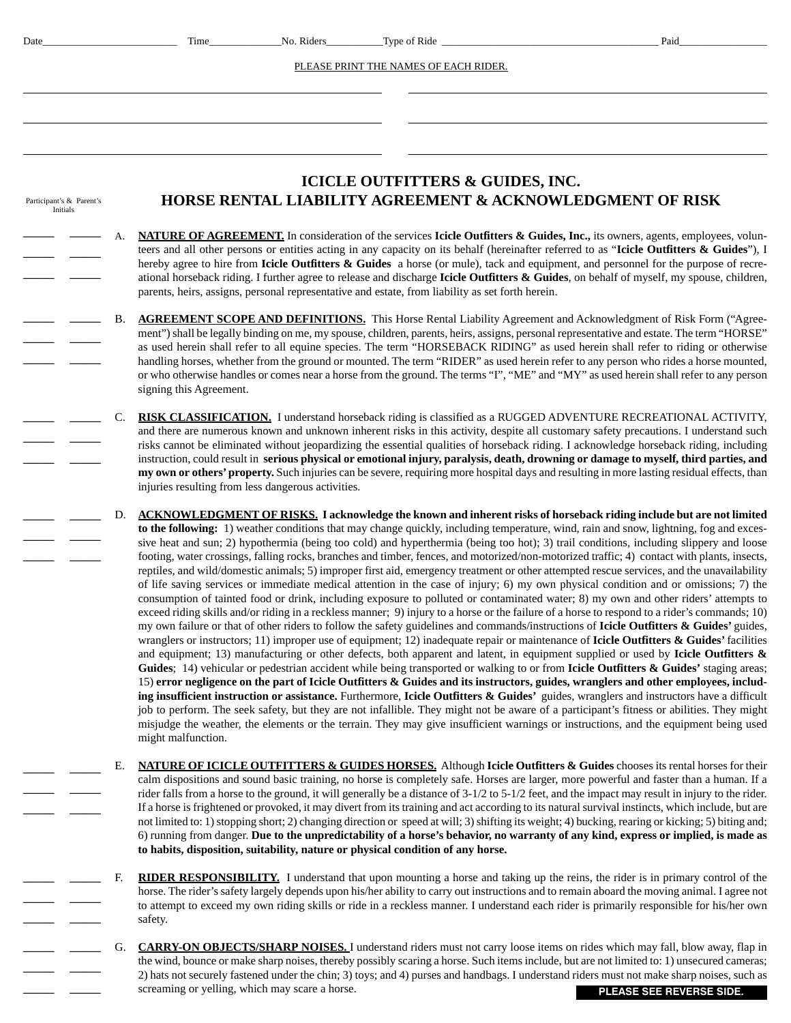| Date                                 |    | Time                    | No. Riders                                         | _Type of Ride _                                                                                  | Paid                                                                                                                                                                                                                                                                                                                                                                                                                                                                                                                                                                                                                                                                                                                                                                                                                                                                                                                                                                                                                                                                                                                                                                                                                                                                                                                                                                                                                                                                                                                                                                                                                                                                                                                                                                                                                                                                                                                                                                                                                                                                                                                                                                                                                                                                                       |
|--------------------------------------|----|-------------------------|----------------------------------------------------|--------------------------------------------------------------------------------------------------|--------------------------------------------------------------------------------------------------------------------------------------------------------------------------------------------------------------------------------------------------------------------------------------------------------------------------------------------------------------------------------------------------------------------------------------------------------------------------------------------------------------------------------------------------------------------------------------------------------------------------------------------------------------------------------------------------------------------------------------------------------------------------------------------------------------------------------------------------------------------------------------------------------------------------------------------------------------------------------------------------------------------------------------------------------------------------------------------------------------------------------------------------------------------------------------------------------------------------------------------------------------------------------------------------------------------------------------------------------------------------------------------------------------------------------------------------------------------------------------------------------------------------------------------------------------------------------------------------------------------------------------------------------------------------------------------------------------------------------------------------------------------------------------------------------------------------------------------------------------------------------------------------------------------------------------------------------------------------------------------------------------------------------------------------------------------------------------------------------------------------------------------------------------------------------------------------------------------------------------------------------------------------------------------|
|                                      |    |                         |                                                    | PLEASE PRINT THE NAMES OF EACH RIDER.                                                            |                                                                                                                                                                                                                                                                                                                                                                                                                                                                                                                                                                                                                                                                                                                                                                                                                                                                                                                                                                                                                                                                                                                                                                                                                                                                                                                                                                                                                                                                                                                                                                                                                                                                                                                                                                                                                                                                                                                                                                                                                                                                                                                                                                                                                                                                                            |
|                                      |    |                         |                                                    |                                                                                                  |                                                                                                                                                                                                                                                                                                                                                                                                                                                                                                                                                                                                                                                                                                                                                                                                                                                                                                                                                                                                                                                                                                                                                                                                                                                                                                                                                                                                                                                                                                                                                                                                                                                                                                                                                                                                                                                                                                                                                                                                                                                                                                                                                                                                                                                                                            |
|                                      |    |                         |                                                    |                                                                                                  |                                                                                                                                                                                                                                                                                                                                                                                                                                                                                                                                                                                                                                                                                                                                                                                                                                                                                                                                                                                                                                                                                                                                                                                                                                                                                                                                                                                                                                                                                                                                                                                                                                                                                                                                                                                                                                                                                                                                                                                                                                                                                                                                                                                                                                                                                            |
|                                      |    |                         |                                                    |                                                                                                  |                                                                                                                                                                                                                                                                                                                                                                                                                                                                                                                                                                                                                                                                                                                                                                                                                                                                                                                                                                                                                                                                                                                                                                                                                                                                                                                                                                                                                                                                                                                                                                                                                                                                                                                                                                                                                                                                                                                                                                                                                                                                                                                                                                                                                                                                                            |
| Participant's & Parent's<br>Initials |    |                         |                                                    | <b>ICICLE OUTFITTERS &amp; GUIDES, INC.</b>                                                      | HORSE RENTAL LIABILITY AGREEMENT & ACKNOWLEDGMENT OF RISK                                                                                                                                                                                                                                                                                                                                                                                                                                                                                                                                                                                                                                                                                                                                                                                                                                                                                                                                                                                                                                                                                                                                                                                                                                                                                                                                                                                                                                                                                                                                                                                                                                                                                                                                                                                                                                                                                                                                                                                                                                                                                                                                                                                                                                  |
|                                      |    |                         |                                                    | parents, heirs, assigns, personal representative and estate, from liability as set forth herein. | <b>NATURE OF AGREEMENT.</b> In consideration of the services Icicle Outfitters & Guides, Inc., its owners, agents, employees, volun-<br>teers and all other persons or entities acting in any capacity on its behalf (hereinafter referred to as "Icicle Outfitters & Guides"), I<br>hereby agree to hire from Icicle Outfitters $\&$ Guides a horse (or mule), tack and equipment, and personnel for the purpose of recre-<br>ational horseback riding. I further agree to release and discharge Icicle Outfitters & Guides, on behalf of myself, my spouse, children,                                                                                                                                                                                                                                                                                                                                                                                                                                                                                                                                                                                                                                                                                                                                                                                                                                                                                                                                                                                                                                                                                                                                                                                                                                                                                                                                                                                                                                                                                                                                                                                                                                                                                                                    |
|                                      | В. | signing this Agreement. |                                                    |                                                                                                  | <b>AGREEMENT SCOPE AND DEFINITIONS.</b> This Horse Rental Liability Agreement and Acknowledgment of Risk Form ("Agree-<br>ment") shall be legally binding on me, my spouse, children, parents, heirs, assigns, personal representative and estate. The term "HORSE"<br>as used herein shall refer to all equine species. The term "HORSEBACK RIDING" as used herein shall refer to riding or otherwise<br>handling horses, whether from the ground or mounted. The term "RIDER" as used herein refer to any person who rides a horse mounted,<br>or who otherwise handles or comes near a horse from the ground. The terms "I", "ME" and "MY" as used herein shall refer to any person                                                                                                                                                                                                                                                                                                                                                                                                                                                                                                                                                                                                                                                                                                                                                                                                                                                                                                                                                                                                                                                                                                                                                                                                                                                                                                                                                                                                                                                                                                                                                                                                     |
|                                      | C. |                         | injuries resulting from less dangerous activities. |                                                                                                  | RISK CLASSIFICATION. I understand horseback riding is classified as a RUGGED ADVENTURE RECREATIONAL ACTIVITY,<br>and there are numerous known and unknown inherent risks in this activity, despite all customary safety precautions. I understand such<br>risks cannot be eliminated without jeopardizing the essential qualities of horseback riding. I acknowledge horseback riding, including<br>instruction, could result in serious physical or emotional injury, paralysis, death, drowning or damage to myself, third parties, and<br>my own or others' property. Such injuries can be severe, requiring more hospital days and resulting in more lasting residual effects, than                                                                                                                                                                                                                                                                                                                                                                                                                                                                                                                                                                                                                                                                                                                                                                                                                                                                                                                                                                                                                                                                                                                                                                                                                                                                                                                                                                                                                                                                                                                                                                                                    |
|                                      | D. | might malfunction.      |                                                    |                                                                                                  | <b>ACKNOWLEDGMENT OF RISKS.</b> I acknowledge the known and inherent risks of horseback riding include but are not limited<br>to the following: 1) weather conditions that may change quickly, including temperature, wind, rain and snow, lightning, fog and exces-<br>sive heat and sun; 2) hypothermia (being too cold) and hyperthermia (being too hot); 3) trail conditions, including slippery and loose<br>footing, water crossings, falling rocks, branches and timber, fences, and motorized/non-motorized traffic; 4) contact with plants, insects,<br>reptiles, and wild/domestic animals; 5) improper first aid, emergency treatment or other attempted rescue services, and the unavailability<br>of life saving services or immediate medical attention in the case of injury; 6) my own physical condition and or omissions; 7) the<br>consumption of tainted food or drink, including exposure to polluted or contaminated water; 8) my own and other riders' attempts to<br>exceed riding skills and/or riding in a reckless manner; 9) injury to a horse or the failure of a horse to respond to a rider's commands; 10)<br>my own failure or that of other riders to follow the safety guidelines and commands/instructions of Icicle Outfitters & Guides' guides,<br>wranglers or instructors; 11) improper use of equipment; 12) inadequate repair or maintenance of Icicle Outfitters $\&$ Guides' facilities<br>and equipment; 13) manufacturing or other defects, both apparent and latent, in equipment supplied or used by Icicle Outfitters $\&$<br>Guides; 14) vehicular or pedestrian accident while being transported or walking to or from Icicle Outfitters & Guides' staging areas;<br>15) error negligence on the part of Icicle Outfitters & Guides and its instructors, guides, wranglers and other employees, includ-<br>ing insufficient instruction or assistance. Furthermore, Icicle Outfitters & Guides' guides, wranglers and instructors have a difficult<br>job to perform. The seek safety, but they are not infallible. They might not be aware of a participant's fitness or abilities. They might<br>misjudge the weather, the elements or the terrain. They may give insufficient warnings or instructions, and the equipment being used |
|                                      | Е. |                         |                                                    | to habits, disposition, suitability, nature or physical condition of any horse.                  | NATURE OF ICICLE OUTFITTERS & GUIDES HORSES. Although Icicle Outfitters & Guides chooses its rental horses for their<br>calm dispositions and sound basic training, no horse is completely safe. Horses are larger, more powerful and faster than a human. If a<br>rider falls from a horse to the ground, it will generally be a distance of 3-1/2 to 5-1/2 feet, and the impact may result in injury to the rider.<br>If a horse is frightened or provoked, it may divert from its training and act according to its natural survival instincts, which include, but are<br>not limited to: 1) stopping short; 2) changing direction or speed at will; 3) shifting its weight; 4) bucking, rearing or kicking; 5) biting and;<br>6) running from danger. Due to the unpredictability of a horse's behavior, no warranty of any kind, express or implied, is made as                                                                                                                                                                                                                                                                                                                                                                                                                                                                                                                                                                                                                                                                                                                                                                                                                                                                                                                                                                                                                                                                                                                                                                                                                                                                                                                                                                                                                       |
|                                      | F. |                         |                                                    |                                                                                                  | <b>RIDER RESPONSIBILITY.</b> I understand that upon mounting a horse and taking up the reins, the rider is in primary control of the<br>horse. The rider's safety largely depends upon his/her ability to carry out instructions and to remain aboard the moving animal. I agree not<br>to attempt to exceed my own riding skills or ride in a reckless manner. I understand each rider is primarily responsible for his/her own                                                                                                                                                                                                                                                                                                                                                                                                                                                                                                                                                                                                                                                                                                                                                                                                                                                                                                                                                                                                                                                                                                                                                                                                                                                                                                                                                                                                                                                                                                                                                                                                                                                                                                                                                                                                                                                           |

G. **CARRY-ON OBJECTS/SHARP NOISES.** I understand riders must not carry loose items on rides which may fall, blow away, flap in the wind, bounce or make sharp noises, thereby possibly scaring a horse. Such items include, but are not limited to: 1) unsecured cameras; 2) hats not securely fastened under the chin; 3) toys; and 4) purses and handbags. I understand riders must not make sharp noises, such as <u>screaming or yelling</u>, which may scare a horse.  $\overline{\phantom{a}}$ 

safety.

\_\_\_\_ \_\_\_\_

 $\overline{\phantom{a}}$